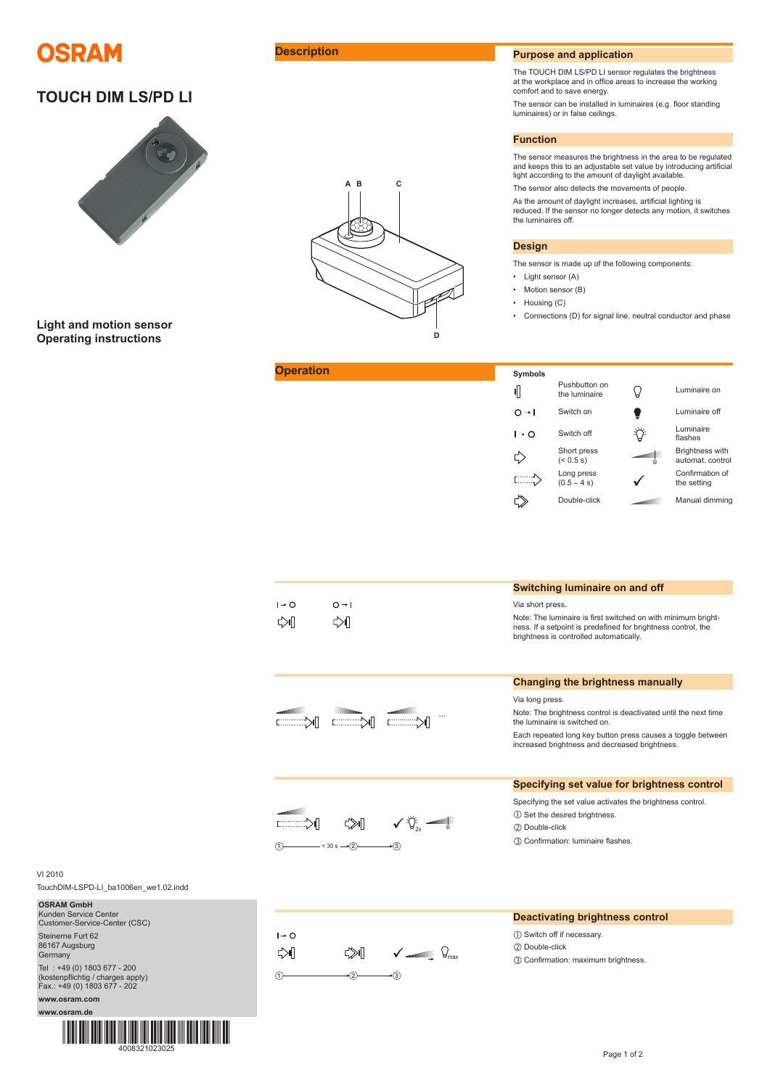

# **TOUCH DIM LS/PD LI**



**Light and motion sensor Operating instructions**

**Operation** 



# **Description Purpose and application**

The TOUCH DIM LS/PD LI sensor regulates the brightness at the workplace and in office areas to increase the working comfort and to save energy.

The sensor can be installed in luminaires (e.g. floor standing luminaires) or in false ceilings.

## **Function**

The sensor measures the brightness in the area to be regulated and keeps this to an adjustable set value by introducing artificial light according to the amount of daylight available.

The sensor also detects the movements of people.

As the amount of daylight increases, artificial lighting is reduced. If the sensor no longer detects any motion, it switches the luminaires off.

# **Design**

The sensor is made up of the following components:

- Light sensor (A)
- Motion sensor (B)
- Housing (C)
- Connections (D) for signal line, neutral conductor and phase

| Symbols                                                                         |                                |   |                                            |
|---------------------------------------------------------------------------------|--------------------------------|---|--------------------------------------------|
| 1                                                                               | Pushbutton on<br>the luminaire |   | Luminaire on                               |
| $\Omega \rightarrow 1$                                                          | Switch on                      |   | Luminaire off                              |
| $\mathsf{I} \rightarrow \mathsf{O}$                                             | Switch off                     |   | Luminaire<br>flashes                       |
|                                                                                 | Short press<br>$(< 0.5$ s)     | Θ | <b>Brightness with</b><br>automat. control |
| $\begin{bmatrix} 1 & 1 & 1 & 1 \\ 1 & 1 & 1 & 1 \\ 1 & 1 & 1 & 1 \end{bmatrix}$ | Long press<br>$(0.5 - 4 s)$    |   | Confirmation of<br>the setting             |
|                                                                                 | Double-click                   |   | Manual dimming                             |

|                                |                              | Switching luminaire on and off                                                                                                                                                                                                                                                  |
|--------------------------------|------------------------------|---------------------------------------------------------------------------------------------------------------------------------------------------------------------------------------------------------------------------------------------------------------------------------|
| $I + O$<br>⇔∏                  | $O \rightarrow I$<br>⇔∥      | Via short press.<br>Note: The luminaire is first switched on with minimum bright-<br>ness. If a setpoint is predefined for brightness control, the<br>brightness is controlled automatically.                                                                                   |
| $\mathbb{K}$                   |                              | <b>Changing the brightness manually</b><br>Via long press.<br>Note: The brightness control is deactivated until the next time<br>the luminaire is switched on.<br>Each repeated long key button press causes a toggle between<br>increased brightness and decreased brightness. |
|                                | $-$ < 30 s $\rightarrow$ (2) | Specifying set value for brightness control<br>Specifying the set value activates the brightness control.<br>1 Set the desired brightness.<br>(2) Double-click<br>3 Confirmation: luminaire flashes.                                                                            |
| $I \rightarrow O$<br>⇔॥<br>(1) | $\sqrt{q}$<br>⊄≫∎⊟           | <b>Deactivating brightness control</b><br>1) Switch off if necessary.<br>(2) Double-click<br>3 Confirmation: maximum brightness.                                                                                                                                                |

VI 2010

TouchDIM-LSPD-LI\_ba1006en\_we1.02.indd

| <b>OSRAM GmbH</b><br>Kunden Service Center<br>Customer-Service-Center (CSC)                      |
|--------------------------------------------------------------------------------------------------|
| Steinerne Furt 62<br>86167 Augsburg<br>Germany                                                   |
| Tel: +49 (0) 1803 677 - 200<br>(kostenpflichtig / charges apply)<br>Fax.: +49 (0) 1803 677 - 202 |
| www.osram.com                                                                                    |